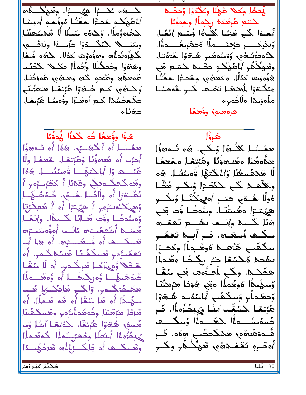لمستَهُم تُكْسُبُوا هِيُمْسُبُوا. وِتَعْهَفُكُمُ هُ هْحِمًا وكُلا هْمُلَا وكُدْوَا وُحصْط أَلمَكْمِكُمِ هَدَّآ هَقَتُٰا هَوَدُهُمِ أُهوَمَٰا لحشع هُبِعُتَكَ رِجْمَاْ! وَجَوَدُنَا! ِكْتُوهِ وُومُا. وَكَمَّو مَيْسُلَا لَّا هُكْتَحْشَا أَهْدًا كُلِّ هُزْسًا كَلَّـٰهُۚا وُسْتُمْ إِنْهُـَا. ومَمْسْــــــلا لِكَنْكُـــــقَوْلِ دَّنُــــــتْزَلِ وِتْبَرَّتُــــمِ وَبِدَرْجَــــــر دَرْجَــُـــــولَمْ وَحَدَّرْهُـــــولَمْ . لْكَمْ:وَنُمْلُمْ وَرْوُوْوْهِ كَوُلًا. كَلَّهُ وَّضْلَا كُرُودتُكُمُونَ وُقِيدُوهُما هُـ وَوَا ـ هُـُوْدًا. وهُةَوْا وحُمكُمُّا وُفُماُا صَّلًا كَتْصَ وثَعهْكُمُ ٱلْمَهْكُدِ حَصْـمْ حَسْـمْ ثَبَـمْ رُوُووُها كَدُلًا. وكَعَدَوُّومٍ وِهَدَّاْ الْعَقَّتُـا كَمعدَاه وهَّزْحَهِ ݣَلْهِ وْهَــْهُومْ هُمْوْحُبُـا. مَكْتَوْا لَمُتَعْا تَعْـم كْـر هُوصُـا وَكِمُوهِ كَمْ هُـوْوَا هَبْتَهْا هَمَنُكُمْ ەلمۇمدا ەللېھە حكْمحْسُمًا كُدِ أُهِ فُتْرًا وِذُهِ مُا هَٰزُ هَٰذًا. فزوهموز وؤهما دەْنا∻ هْرِذًا وِذَهِمًا ثُمَّ كَحَرًا لَمْوَٰمًا ۿۥۏؙٳ همَّسُا أَه أَكْتَفَــِّي. هَٰهُا أَه شُـهِوَاْ ھمَسُــا كَلَــٰهُا وُلَـكَــب. هَء نُــٰءهوٰا أَحَبَ أَه هَٰدِهِ ذُلَّا وَهَٰٓتِنَهَـا. ـهَعفـًا ولَّا هدُّههُمْا مهُدهؤُمُا وهُبْتِهْا مِمْعِمُا هَنَّـــده وَالْمَلِكَنَّهُـــا وُْمِئْتُــا. 26ا لَّا مْدْهَٰىىعُىْاْ وَٰآٰىٰـكْتَـٰهَا ۊ۫ٛٯىـُىنُـٰـا. ۞ه وهُمكُمحُدُ مِنْ وَشَارَا أَكْتَبْتُومِ أَ وكلْف£ كُلّ حْكَدْءَا وُحْكَّبِ مُثْلًا ىُمْـــٰۃ{ل أُه وِلُاحُـــل هُـــمَ). كَـمَهَشَــهُـــل ەُولَا هُــەَى حمَــر اْەییْنْتَـا وُـكــو وَسِيكْتُوبِيَّةٍ أَ هِيَتِيَّا أَو أَ مُدْمِكْرُبَا هيُتترا همَّىتْنَا. وِمُهدَّىا وَّد هِّع وُّەمنُەكْسا ووُّدە مَجْسائل كَسْمَال والْعُسار ھُنُا كُــمِكَ وِإِنْــمِ بِـهُـــِعِ بِـُعْقَــِينَ هُنَّكُمْ أَعْلَىْهُمْتْرَةِ ݣَالْبُ، أُوَذُومَكُمْتِرَةِ مىڭىگە ۋىنقىچە. كَنز آيىك ئېگىپ قْتَسْكَنْتُ فَا وُسْتَكْتَسْتَرْدَهُ . أَنْ هَٰذَا أَبْ سكْفَبِ هُنْعَــدْ هُوهُــمِلْا وكَحــبُّا ئَعْمُدُونِ شَيْدُهُنَا هُيسُدْدُونِ. أَه لكُحِمْ هَجْسَةًا حَبَّ رَجَّحْطًا وَهُدَأَا هْـقْلا وُٯِيْزَىٰـا مْرِكْــٰمِ. أَه لَا مَقْـا هكَنه. وكُم أُهِنُّوها بْمَعْ مَغْلًا دُّمَٰشَكُلُّ وُهِ رِكُنكُلُّ أَه وُهِ مَدْ وَالْمُ وُسِهُٰداً هُوهُٰداً هِبْ ﴿ وَٰذَا مِنْهَا ۖ وَ ھھَىدَنگىمر. ۋاڭى ھَائكىرى ھُب وَحعَّـملُرٖ وَسكتَفب ٱلمُمَّسَـه هُــةوۤا سَهُنَدًا أَو هَٰذَا سَفْا أَو هُو هَٰذَا. أَو هَبْتِهَا كَمَنْقُبَ آمَنًا وَيُحِكُّوهُ أَا، كَمِ هْزِدْا مْزَمّْنْنَا وِحُومُومُوْمُوْمِ وْمْسَكْفَسًا كَسَمَّسْتَ عَلَّا كَتَكَتَّــــقَالَ وَسَكْتَـــف هُسِمَ، هُوْوَا هُبْتَغَا. كَمُتِمَا أَسُا وُب فُءفِكُلَاةُ مِنْ مُحَمَّلُكُمْ مَنْ مَنْ الْمُحَمَّلُ مِنْ مَنْ الْمُحَمَّدِينَ مِنْ مَنْ الْمُحَمَ كْمِحْزَه لِمُ الْمَصْرِجَةِ مِنْهِ أَلْمَنْ أَلِمَ ثُمَّ مِنْ أُهصْبِهِ تَقْعُـدْهُمْ شَهْنُـدُمْرِ وِكْــرِ وقسك ف أو جُلِكَ عَلَماً و هُرَحُهُ وَ

مَحْدُمُا حَزَّىر أَاتَّا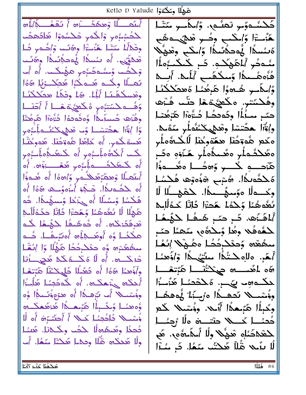Ketlo D Yalude المَكْتَوْ أَسَفَ الْمَ وَهَدَهَكَ آَرَاهِ أَكْفَاهُ كَمَا إِلَهِ كَكْشُدْوَّىرِ تْعْشُى، وَّاحْأَسْرِ مَتْسَا َلْحُمَّئِيَّەرْ وَالْحُمْرِ شَكْسُوْا هَٰاِضُعْضُتَ هَّنْـــٰٓ;ا وَإِيكْبِ وِحُــوٍ قَطِيْــهِ هُمْ وِثْمُأَلَمْ مَنْتُمْ هَزُنْتَهُ وَهُنَّتْ وْٱشْمَرِ ذُلِّ كَسُمَا هُءكانَـدَا وَاسْكُم وَهَيْلا هْدْفُىي. أَه بِنُسْدًا يُوجِدُنَيْدًا وَهَنَب مْـُـودُر ٱلمَّوْكُـو. كَـرِ كُـكُـرُّومُاْلِـ وْݣْلْتُ وْسْتّْمَضّْبُوم هِهْكْتْ. أَوْ أَتّْ قُتُوهُـــداًا وَمـكفَـــح ٱلْمـد. أَبـــد تَصَلَّلَ وِكْسَهِ هُسْمَحُكُمُ هُوَكِسُوْبُلِ هَاهُ! وَٱلظُـــو هُـــادوُا هَٰـبِهُــُـا هَعطَـكْـتُـا وهْسكْفَسًا أَبْلَا. هَا وِتْݣَا هْكَلْكْنَا وفُكْمُتُمْ. هَكْعَيْهَمْ حَنَّبَ فُـْزَهَ وَفَــمكسَّتَوْمِ ةَكَعَيْهَمْــا أَ أَتَسْـا حَسْرِ مِعِلُما وَجَوْدَهُمْ ذُوْرَا هَٰزِهُمْمَا وفَّرْهِ حَسلَكْلَ وُوضُومُا مُتَّوْرًا هَرمُتْلَ [وإوَّأا حدَّثتما وشحيححْنُماُرٖ مَمَّمَحْ. وَّا إِنَّهَا حَصَّتْسًا وَّتَ مَحْمَىكُنْتُ وَلَّذُوبِ ءكم هُەۃحُنْا محمّةوحُنْا لَاحْدُہُماُب هُسة كُـه. أَه عُـاهُـا هُـمَّوَحُبْا. هُـموحُثْـا ِكُــد ٱلْكُثُّەمِلُّــرُەبِر اُه گَــعَنْــدُومُلِّــرُوبِ ەھَكْتُملُر ەھَـىدُّەلُر ھَـُزُوهِ ەكَـر أَه لَكْمَلَكْــــولَمِرُهِ وَ هُمْـــــزْوُرَهِ. أَه هَّوَّحَــــوِ گَـــــو وَهوَّـــا هڤَــــووُّا أَمِنُعَىلًا وَمِحَرَمَ مُكَسَّمٍ وَاهِ وَا أَو هُدووًا ەَ كَثَمِىدًا. ھُتِ چەۋەۋى فَكْسًا أُه لِحَشُمِيكَا. شَجْرَ أَخُودُ مُؤْسِعًا وَوَا أَه وكَـــولَا وَوُسِهُـــمدًا. حَــقهـــلَا لُا كَكْسُا وُسْسَلَا أُه حِبْكُا وُسْلَمْسَةً عَلَى اللَّهُ مِنْ اللَّهُ مِنْ اللَّهُ مِنْ ىُعْدِمْمُا وَحِدْهُ جَدْتَوا دَّاتْا حَدُلْلِحْ هَٰجُلًا لَّا نُعْدِهُمْا وَحَدْرًا دَّاتْا حَدِّدُلَّا هِمْ ٱلمَفَّزَهِ. کُے حیّے هُیفُا حَکَمِیْهَا مْرِفَدُرْكُلُهِ. أَو خُوصُفُا كَيْبِعُا كُـه لمفُوفُلا وهُل وُلمُشَىٰ سَٰعِنًا حَبَ هكْخُا وُه أُوهُنَّيْ أَهْ أُوتُنِّيْفَ أَنْ هُنَّةَ وَلَيْهِ مَنْ مىھُمْتە وَحْكَـٰرِحُكُمْ ەھُـٰهُكُمْ إِنُـٰهُـٰا مععُمْدِهِ وُهِ حَكَـٰدِخُخُا هَٰذُلًا وَا اِنْشَا أَهَنِ وَلَوْهِ حَتَّكَمَا مِعْتَيْهِ وَأَوْهَدَا وَأَوْهَدَا دْرِكْتْ وْ أَوْ لَا وْجْتْتْمَكْمْ مُحْيَبْ زُنَا هُه لمعْمَـــهِ حِيكَتْنَــا هَبْتُمْــا وٱؤْهنا هَوْا أُو دَهُمُلا حَلِيكِنْنَا هَرَّتِهَا أَحكته بأعضَفَ أو الله عنه الله عنه الله الله عنه الله عنه الله عنه الله عنه الله عنه الله عنه الله ا مكــــوم يكب مَكْتَحِسًا هُنُسْأَا وِذُسْمِلًا أَبِ يَرْهِـدًا أَه هرَهِ ذُبِّـدًا وَّه ووُْسْمِىلا نَحْفِــدًا هُ رُبِــزًا يُّـهِ فَشَارِ وُّەھئىل وَجَنَّــرِلَٰہٗ هُرَجِعَــدًّا هُـْتَهُجَنَّــدِهِ وِكْبِلًا هَٰبُعِجًا أَآتِي. وِفُسْيَلًا يَكُمْ ذُسْبِيْ دُادُمِيْا كَبِيْنَ أَ أَمِنْتَ مِنْ أَو لُل حُدُ اللَّهُ حَسْنَ مِلْا رُحِمُ ا دُحدُا ومُنهَده لْا حجْب وحُلَّهِ لَا مَسْلِ لحَقَّدْكُمُلُو مَعَيْلًا وِلَٰا أَسْلَمَوْوَى. هَي ولًا مَحكَده مَّلَا وحمل مَحتَل عَمُا. أَبِ لًا بِرَيْنِ هَٰلاً هَٰذِيَّبِ يَنْعُلْ جَنِ شُرْاً مَحْدُمُا حَزَّىر أَاتَّا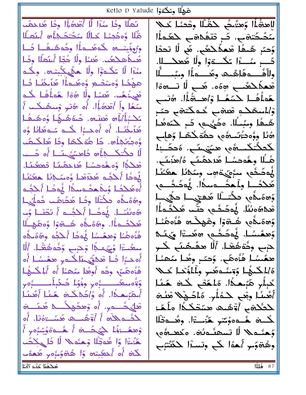Ketlo D Yalude Siri , Naô بَعِلًا وجُل مُرْا لًا أَقْدِهُ إِلَّا وَجُلٍ هُرِجِعُبٍ لِلْعِنْهَ أَلْ وَهِتَمِكُمْ حَقَّالًا وِدْمُـٰلًا كَحِلا هْلًا وُوحُجِبًا حَالًا مَحْتِحُجِلُو أَمْعَطًا مَكَمَضَتَهُبٍ. ثَمِ تَتَعُلَاهُبِ لِلْعَمَا وزُوفَيْتَ ۞ كُوهُــواْلِ وِجُوهَـمُــا حُــا أَوَّحَبُ هُدِفًا شَعَكُلاَهُمْ. هُم لَّا تَحْدًا مُحكَمهكمُ.. مُعبًّا ولًّا حُجًّا أَعبَّطُا وحُـأ كُبِ مُكْرًا حُكْسَةَوْا وِلًا هُعكَسَالٍ. مُنْزَا لَا يَكُورْا وِلْا هِكَي جَيْئِيهِ. وجَدْء والأَفْــــدَهَٰاهُــدَ وهُـــــداْ! ومبُــــــاْلا هجُحًا وُمِتْصَّم وُمِعُتْمَاً مَنَّتَخُطْ ضُل تَعْمَلُكْتُبِ وَهُو. هُبِ لَا تَسْوَةَا هْيٰ خُمْعًا. هَٰنئا وِلًا هُوْا حُواُكُما كُـُـو هَدَاُهُـــا حَسَّمُــا وْاهـــةُ أَا. هُنْب مَنْعُا واَ اْتَدْتُدَاْ. أَه تَآتَر وْسْتَفَكَّب ٱ وْالمعْقَلَةِ مْلَاهْمٍ مُحَكَّنَاهُمْ حَتَّمْ عْكَمُأْ) إِلَى هُسْتِينَ. شَدَهُنَهُمْ أَوْمَعُنَدُ أَ كَعْدًا مِبْنَىلًا. وَكَيْبُ مِنْ كَتَوْهَا هَزَىكْتُا. أَو أُوجِبُرْا كُنْتُو سُنْوَهُلْ أَوْو هُلُّا وؤُهِ دُّرُبُ وهُمْ حِقَّة كُنْقَا وُهِ إِس وُودُنَكِيلُوه. كَا هُقكْهَا ودُا هَاكْتِفْ ݣُعِكْتْݣْسْتُوْمْ، مْشْهْشْهَا. ةْحَضّْبْهْ لًا مِحْتِكَـــٰ وَأَوْ دُاهِمَّيُ مِنَــا أَو حَـــب هُـلًا وهُوجسُـل هُـُدحمَّتَ وُاهزَّتَـ. قَطَمُ أَوْمَعُوصُا هُرَجَعُمًا تَعْعُمُنَا. الْمُضَعَّمَ الْمُضْمِ سَمِّقَرْهِيْمَ مِصْحَصَلَ لْمَحَا أَحْثُم مُحْرَمْهِ وُمِمْجِئًا حَمَّنْنَا هَٰكِئُــا وِٱحثُـــــــــــه لِمُحَتَّـــــــــــهِ أُومَحْكُمْ وُجْمَعْتُوسِكُمْ يُوكُمْ أَحْدَثُ لمسركك لمسرعة المستك رهفه ذهني وهَمَّدُه حكْتُلا وحُـل هَجَرْهُـب خُملُيْـل هْدْهُوسُّا. فُوصَّفْ حَنَّب هَدْشُواْ هَءتُنُــا. يُوحُــا أَحْثُــه أَ تَحْنَــا وُبِ وُههَدْهِ هُــقَوْا وِهْهِدُـه فُزُههُمْـا هُكْشُداْ. وهُمُكْه هُــةَوْا وُهِكَجِــلَا مُنْرَىٰ اِتَّـمَٰہ مِصْحَٰفَیْ الْمُسْتَمَعِ مِ فُزُوهُمُا وْهِمُسُا لْمُوحُا أَحْثُو وِوَّةَ هُو ِ حَرِبٍ وِحُقفُعْدًا. ٱللَّا هفَيقُبُ ۖ كُــرِ مِىعَنْدْ: ﴿ يَهْلِيهُمْ وَحَبِّي وَحُّوهُقَالَ. ٱلْله همُسُل قُزُّهِكُمْ. وُحِصُرِ وِهُما سَعْصُل أُهجَا كُلُّ هَدَيٌّ مَثَلَكُمْ وَحَقَيْمًا أَه كَالْمُكُنُّولُ وَوَمْشُدْهُمْ وِلْمُؤْتَمِلُ كُمْلاً فُتُوهَٰنَىٰ وِحُو أُوهُا مَعْطَا أَو أَلِمَكُنَّهَا وَوَّەمىكىـــــــزەپر وۈگە كىگېلىـــــــزەپ كْبِلُرٍ هَبُعِجَاً. هَاحَصْ كُنْ حَسْاً أَحدَّبْــمـدًا. أَه وُاكْـدْكْــرَه ـمَّـسُـل أَهْـسُـلُـ أَهُىنُا وِبْعِي لِكَفَلُرٍ. فَاكُنْهُلا شَنُدَه قْلْيْحْسَمْبْنُ أَهْ وْهَجُهْكُنْ هُنَّسْتَة لحثُلاة بأَوْتَقَتَ هَنْتَكُدُا مَلَّمَّ: لْكُنُّـهِ كُلُرُو ۚ أَنْ أَوْ هُـــدِ هُدَّمَـــْرَهُ لَٰهِ ۚ أُو لْكُنْ هُنْدُهُ بِكُنُو هُزُوْسَتْوَا، وَهُنْدَقْلَا وْهِمُــزْوَٰلَم لِكَيْمَــةَ ﴾ هُــدَة وُيُبْرُه ﴾ وَهِنَده اللَّا تَسْعُفُدْهُ. وَكُعْدِوُّهِ، هَّنْتْزَا وَا هُدَبْنَاا وْهِنُمْلَا لَٰا دَٰا كِكْثُب وهُةوَسِ أَهِدًا كُبِ وِتَسْأَلُّكُ كَتَنْتَهُب لَّكْتُهُ أَنْ أَحْتَكِبْتُهُ وَا تَقْوَّتُوْمِ تَحْمَقُت مَحْدُمُا حَرَّىرِ ٱلْأَمَّا  $\frac{1}{2}$ فَلِمُ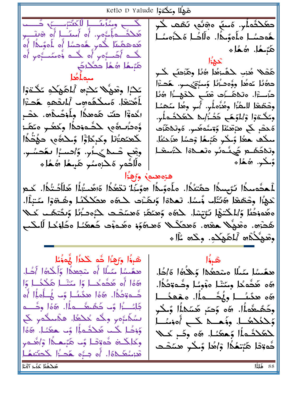Ketlo D Yalude Ja و Ketlo D Yalude لَكَن وَيُمُأْمَنُكُمْ الْأَحْتَنَبُهُمْ مِنْ وَيُسْمَعُوا حَفَّلْثُمَآب. هُمْنٌ هِ وَهُنُّعِ نُتَّفَ لَكُمْ هُلاثٌــه أَبُّوب. أَو أَمنّــٰا أَو هُنيّــِ هُوصُبًا ولُومُكُلْ. ولَّأَصُلْ هَكَرُومُنَـل هُدههُمَا گُدُرٍ هُدمِمًا أَنْ أُدَوُحاً إِنَّ هَ مُعْلَى مُعَاج لَّكُتُمْ أَضَيَّوْمٍ أَوْ لَّكُتُمْ وُوْمَئِيسَرُومٍ أَو تحلمأا هَّمُمَّا شُمَّا حَثَكْتِ هُصْلاً هُنِ لِكُمْنِهُا هُلًا وِهُنْتُمْ لَكُـرِ دەُنَا غەھُا ووُەدْرُنَا وَمِئْقِيْسِ. هَدَرْا عْدَا وْهَهْلًا عَدْرُه ٱلْمَّهْكُمِ عَكْتَوْا دَّىــــتْزا. ەنىاھَـــزَى هْتَـــح لكــْنْهــزُا ھُنْا لْمُتشَا. ەَسْكُفُەھ لْمُلشَّفْ هُدَتْزَا وِحْقَعْدَا لِلْحُنَّا وِهُنُّولُمْ. أُس وِهُا مَعْصُل ائْدَوْٓا حتّ هَءمدًا ولَمْوْصُدْهِ. حصْر وْكُتْوْا وْاْلْوَهَى كُتُّزّْلِهْ حْكَدْشُولُو. ؤَودُنا وَوَا الْمُحَادِدِهُ الْمُحَكَّسِ وَعَكَّمَ: ەُحصْر كُمْ مِرْمَسْلَا وُتِسْمَعُسِ. ەُولْكَمَّتُ لَكْعِنَعْتُرْنَا وِكْرِكَاوْا وُحِكْرُهُ وَحَكْفُوا سكُف هَمَا وُسَكُنِ هَزَيْهَا وْحِسًا هَزَيْتَنَا. وتَكَظَّم كَيْسُوبُو وتَعَـكَاةَ الْخُبُمِيْمَــا وقِّعِ شَــْمِيْــرُسِ. وَاصِبُرَا بِـمَّحِسُــِنِ. ۇڭر. ھەلە ەللۇمر كىلزەمئىر كېيىغا شىغا د فزوهموز وزقوا ـلْـعثَـْمـندَّا تَـرُّبِـندًّا حَمَّتْنُدًّا. مأَهوَّنظُ الْمَوْنَةَا تَتَّعُدُّا كَاشَـنتُكُمْ الْم كت تَّكِمُرَا وِحْقَعْا هَنَّنَاتَ وُّسْلًا. تَعَكَّدَا وَتَكَبَّدَتْ كَلَّهُمْ مَتَكَلَّدُا وَهُـوَّةَ مَتَبَلَّا. ەھُدۈكُلْ وَ/الْكُتْݣِلْ نُوَّتِيْتْلْ. ݣْلْهُمْ وُهْتَكُرْ هُهْتْشْتْتْ كْرُوْدْتُوْلْ وُبْخْتْهَتْ تْحْلا ھُڪْرُه. وقَدِينُكَ هِعْدِه. وُهِدَكَّــكَــا وُهــوَوُوْ وهُــدوُو كَــهِمَّـُـا وكَاوْحُــا لَّاسْـكب وتَعِيثُكُمْهِ ٱلمَكْمَكِ وَحِدِّهِ عَلَاء هْبِوُّا وَرُهِزًا هُم كَلَّالٌ لُّووُمًا ۿ؞ؘٳ همَّسُا سَماًا أَو عَجِعدًا وَأَحْدَوُا أَحُلَّ. همَّسُا مَيْىلًا مْتْعَعُدًا وَجْدُهُ! هَ/جُلْ. هَهُا أَو هَخُوجُــا وَا مَتْـَـا هَكْخُــا وَا هَٰه هَٰڅُه ُدَٰا وِمَتْـٰا هوٓوۦُـٰا وحُـٰـٰءۊكُاُا. ثُــد;دُدًا. 5َهُ| محْنَىـُـا وًى يُــأَه}ا أَه هُه هِنَّسُــا وِيُثُـــهِأَا. هُمْعِنُــا جَايُـــزَّا وًى حَصَّـعُـــملَّا. 5% وحُــــــم وِحَسَّمَعُهُ أَ. ۞ه وَحمَ هَمَدْا أَلَمْ وَحكَم ىسُكْبُرُەر وڭد مُنظَر. ھگسگەر كى وَحْدُحُهُـا. وِذَهــدْ كَبِ أَهْنِسُـا وَوَحُـا لَكُـب هَٰكَـثُـمِلًا وًب بعضَـُـا. 20أَ لِمَعْلَاشُـٰه الْا وَحِعَنُـا. ۞ه وضَرِ حَمـلا وكالكلغ خُورْقْدا وُبِ هَزْيُمْلَا وْاهْبُوبْ خُەرْقَا هَبَّتْعُدًا وْٱهْا وُݣُر هَنْشْت هْزِسُعَكُمْهَا. أَو جِـرُو هُدَرُا كُحتَنفُـلُ مَحْدُمُنَا حَزَّىرِ ٱلْأَمَّا 88 فَا**ِل**ْأ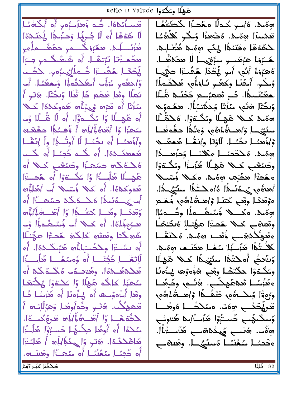| Ketlo D Yalude Ja وَحَكْتُوْا                                                                                  |                                                                                 |
|----------------------------------------------------------------------------------------------------------------|---------------------------------------------------------------------------------|
| قْتَسَابُكُمْةَا. ضُمْ وْهَدَسْرُومِ أَوْ أَبْكُوهُ ـُبْل                                                      | ادِهَـدْ. هُ/سو خُـدلًا هڪْتُ) كُحتَنتُكُما                                     |
| لًا هَدَهَا أَه لَا جُـرِؤُ  وَحـَّنَــهِۢا لِمُحنَــٰهَا ۖ                                                    | قىدمىآا ھەمد. ەڭتىدا ۇمگىر كلاھ،لا                                              |
| هُذُكَ أَبِي. هِمَّزْوَيْ مِنْ حَقَّفُ وَأُورِ                                                                 | لحَمَّدَهَا هفَتَنُكُلُّ لِكُم وَهَٰى هُزُنُـٰلِـدَ.                            |
| محكَمــتُ لَا رَّتِـقَــل أَه هُـمَّىكُــمِ حِــَمِل                                                           | هَــَـْفِطْ هزْهَــــو مِـزْقِيْــا لَا هجَكْشَــا.                             |
| لَمُحْمَّا هَقَسْتَرَا ذُءاُلِّي جَوْمِ. حَدُّب                                                                | هُهْزَوْءُ أَلَٰهٌ أَس فُقَدْ هَفَتْ الْحَكَمِينَ الْمَحْمَدِينَ الْمَحْمَدِينَ |
| وَ/حصَّدي خُبْلًا أَحكَلْحُديَّا وُحِمكَـٰا. أَمَّا                                                            | وًىكُن. أَمَثَلًا وكَعُـن تَـاوَلُونَ هَكَـدُـدَاُا                             |
| تَعلَّا وقدا مُعْقَم كَا مَّنَّاا وَيَحَتَّا. وَقَبَّ أَ                                                       | ۔ مَحَسَّــٰہٗا. کَــِ مَعمَّـــم کَتَــُـہ مَّــُّلا                           |
| مَعَانَتَا أَهْ هَدَهِ وَبِأَمْ اللَّهُ هَدُو كَلَّمَاهُ الْكَلَّلَا                                           | وَٰىحَتْا هُنُو، مَنُتْا وَٰحِذَّتَـٰٓءَاٰ. همَّـٰوَٰٓهِ                        |
| أَه هَٰجِيًّا وَا يَكْسِوْٓا. أَه لَا قُبْلًا وُب                                                              | 5% كىلا ھْھِـلَا وڭـقۇا. كَىڭشا                                                 |
| مَنْعَزَا وَا أَمْدَهُ إِلَيْهِ أَ وَّفْسُلُوا حَقْعَتُهِ                                                      | معتَّتِي لَمْ وَاهِـــوَهُمْ وَوَتُكُمُ الْحَقْوِهُـــا                         |
| وْأَوْهَنَـا أَو بِحَبَّـا لَا أُوتُــٰهَا واْ إِنَّـٰهَـا                                                     | وْاذْهِمْـا بِحَمْـا. لْاوْتَا وِاتْغُـا هُمْهَـــه                             |
| مُعصدُ ٥/١. أو حُــو حُجِيًا أو حُــب                                                                          | الأمكان كالمحاسب والمسلم المسلم وحزوب وأدارها                                   |
| هَكْمَكُمْ حِسَْهِ أَوْصَنُعْبِ كَمِلًا أَهْ                                                                   | وحْسُعْبِ كَـــلا هَجِــلَا هَٰذُكُرَا وَعَكْــٰٓوَا                            |
| هَجِسًا هَلَسَزًا وَا عَكْسَةَوْا أَه هَدَسْرَا                                                                | مَعْجَبْرَا هَجُرْمَا هِمَمْ. مَكْلًا وُسْمَلًا                                 |
| هُدوكُهُ). أَو كَمَلا وُسْمَلا أَبِ أَهُلَأَاهِ                                                                | أَهْرِيْتُمَهُ الْمُتْكَهَاهُ أَمْدُهُمْ رَوةُهُمْ أَ                           |
| أَبْ يَكْسُمُ أَمْلَـــهُ كَمْ حَسَّمَــّ أَهْ                                                                 | ووْتَعْشَا وَبْعَى كُتْسًا وْاهْدْقْاهُورْ وُهْبُو                              |
| وُقْعَقْدًا وَهُدًا كُتْئُسُمُوا وَا أَقْعَدْهُ أَبَادُهِ                                                      | 15%. هكسلا ذُمُمُشْــه/ا وشُـــه/ا                                              |
| هجَعِفُلُمَا. أَه كَتْلا أَبْ فُسُبْتُهِ أَمَّا وُب                                                            | وهَدهَبِ كَــلا هَدَــْٓا مؤْتــلا هَدَّتهَـ                                    |
| هُوكُمْا وْمْسْو كْلْكُرْهْ هُدْرًا عَيْنَـلْل                                                                 | ءثَديثُكُمهُ ـب وُثْعَـــا (20 مَكْ مُكْتَغْــا                                 |
| أَه بِسَّنَّا وِكْحُبْهَا أَنَّهُ هَٰهُكُكُمَّا. أَه                                                           | كَلّْتُمَّا هُزّْسَيّْلُ مُعْصَلٍ هِجّْسَبٌ وَهَيْمًا.                          |
| لَّالْتَقْسَا حَجَّتْسَا أَه وُهِمَّعُسَا هَٰلَسْتُوَّا                                                        | وَتَرَدَكُمْ أَمْ حَتَّمًا مِتَّيْنَ أَمْتَ مَنْ الْمَحْلَةِ مِنْ الْمَرْسَلَةِ |
| هَٰلِمَعَكِمَا. وهُرْصِدُب هَنْكُمَكُمْ أُه                                                                    | وككـةوْا حكْتصْا وقْب ۋەوْھ لِـزُونْا                                           |
| عَمَيْا كَلِگُو هَٰذَا وَا عَدْوَا لِكُنْعَا                                                                   | ەھَنُسُل ھَٰكُمُكُبٍ. ھُنُے وَحُرِهُــا                                         |
| وقَدَا أَخُووُنِيهِ أَو لِخُوبُا أَو هَٰذُنُنَا قُبَل                                                          | وَرُوةُا وُحِكْمُهِ وَتَفُكُّمَا وَاهْتُمَاهُمْ وَالْمُحَمَّدُ                  |
| مْعِجِكْبْ. وَدْبَ وِحُواُومُكِمْ وْعِبْلَاتِيهِ أَ                                                            | قىرۇقئى بوەت. ەمىلاھْـــا ەُوھْـــا                                             |
| لْحَدَّدْهَــا وَا أَتَّعَـــهُ إِلَٰهُ هُـ مُحِهَّكُمـــةَا.                                                  | وَسكُنَّهُبِ حَسَّرُوْا هَٰنُــأَٰابِـهِ هَٰـٰٓوِيُــو                          |
| مَكْدًا أَه أُوهُا دِكْنُهَا تَسْبُوًّا هَلَيْـًا                                                              | وةَ -. وەتىب كَرىكلاشىپ ھَنَّىــِتْكَلَّا.                                      |
| هَاهْكْمُهُ!. هَنْ وَالْكُمُّاءُاْ هَ أَ هَاسُرًا!                                                             | ەڭئىل مەھْنُىل ەمىئىُسل. وەنىۋىپ                                                |
| أَه حَجِئًا مَعْنُنًا أَه مَحَدًا وقَبَلَتِهِ.                                                                 |                                                                                 |
| $\sqrt{\frac{2\%}{\left(\frac{2\%}{\left(1+\right)^2}\right)^2 \left(\frac{2\%}{\left(1+\right)^2}\right)^2}}$ | $\sqrt{116889}$                                                                 |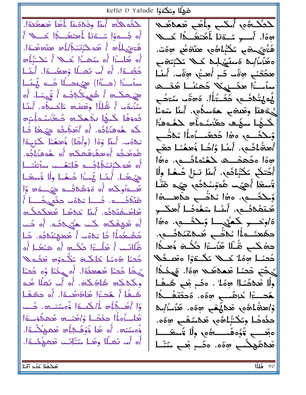Ketlo D Yalude المَكْتَوْ لِحْدُهِ لِلَّهِ أَمَّا وَدْدَهُ مِنْهُ لَمُعَه الْحَمْعَدَةَ الْمَسْتَدَمَّلُ لمضَّلْمُوهِ أَسْلَبَ وِلَمُعْبِ شَعْدَهَنَدْ أُه شَــووَا سَــتوتا لِمَعتعمُـــوا حَــــــــلا أ ہوہٗا. أُمِي سَنقاط لَمُعْتَمُد هُا كَمِيلًا كَتَرْهَىٰ إِلَى اللَّهُ مَعْ حَدِّتْ اللَّهِ إِلَى مَعْنُوهُ مُعْدَا. فَتْهَى وَهُ تَكْتُبِكُمْ مَعْتُوْمًا وَمَنْ مَنْ مَنْ مَنْ مَنْ مَنْ مِنْ مِنْ أَه هَاسُرًا أَه مَعْصَرًا حَمِلاً أَعْطَيْهِمْ ەھَنْشْرُلْكْ كَىلْكْسْلْمْلْكْسْلَا كْتْبْتَدْھْبْ حُجِّنــة!. أُه أَب تُحــلًا وْمحمَّنــة!. أَسّــل هكَتْبُ وَةً كَرِ أُهْتُهِ وَةً . أَمْلًا من الله على المستحدة (النَّاء) انْسنة من الله عليه الله عليه الله عليه الله عليه الله عليه الله عليه سأسأا مكنيكلا كمشلم مكسم مهْي عَكْسَ أَصْفِي بَكْمِنْهِ مَنْ أَصْبَحْ مِنْ الْمَاسِيَةِ لْمَهْتُمْشُـمِ كَثُــْتُمْلُ. هُ∞ةٌٮ مَـُـْتَثُــم مَنَّبَمًا } قَالَما وقتله عَلَّمهُم. أَمَّا يْءَهْلُا وقْدِهْمِ حَقَّدِهُمْ وَقَاعَةٍ مِنْ أَعْقَرْ ثَوفُط كُنْهُا بِذْهَكْ وَحَقَّتُنَاهُ وَأَسْتَدَمَ لَّكِيمًا سِمَّت حَكَّرْمُتَداَّهِ كَدَّدَفُّا لَّكُمْ لَهُوْ مَزْلِمُوْمْ. أُو أَتَعَذِّبِكُمْ دَيْ هُلْ دُلْمَ أَوُلِكْسُما وَهَا خَعْفُسْأَوْلَمَا يُكْتُسِي تكلَّف. أَمثَا وْدًا (وِأَهُا) وَهِمْنَا كَرَّمِهَا أَهِدَةُ ائْــهِ. أَسُـلَ وَّاحُـل وَهِـمُـُـل عَقَب هُوَهُدِيُهِ أُوهِدُوَهُدَاهِ أَو هُوَهَٰذَاءُ. اهْ مَحْمَدْهُ لِمُعْمَلَاتُ مِنَّ اهْمَ أَه هَدكَ تَنْكَلِفُ دَ فَائِمُــب مِنْتَتْبَــا أَكْتكُ عَكْبُائُو. أَمْلَا تَـرُل كَـهُـا وِلًا دَيكِيمًا. أَمَنَا يُحبُّلْ حُبِّمًا ولًا قَصِيْدًا وَّسفَا أَهيَّب هُمْوَسُلاَثُو، حيَّم هَنْـا هُــــوَوِّكُمْ أَوْ وْمَكْلَائِـــو صَــِــوْمْ وَا هَٰىتَعُلاَثَـــمِ. ٱمنُــا سْـَعْوَنُــا ٱمثــــر مَامُعمُكُمْدُه. أَمَّا عَدْهُا مُعكَّدِكُ ة/وتمسو كعنُي اوً حدَّصهِ. هُا أَه مَٰدِهْكُ » مَنْ هَزُمْهُ . أَه حُب حعَمحَدُ عامَ الْمَحْسِي هَمكَتْنَكُلَّصُومِ. حَشَمْتُماْل حُل مَحْمًى لَا مُعجِمْتُحْجُم. حَال مُّلائب أَ هَلَــــْٓا حُكْــه أَه هنُعُــا أَه حەُكْب قُـْلَا مَّنْتْزَا مَكْـة وُهــدًا كَعْنَا هَءْمَا كَالْحَاةَ كَنُّدَوْهِ هُئُدَلًا كُتْسَا هِمَا كَتْلًا كَتْتَوْا مْعْسِقْلًا حَيْحًا حَمْنَا هَمْعَدْدًا. أَهْ لَيَكْنَا وَهِ خَمْنَا لَّكُمْ هُدَاهُ مِعْدَهُ هُمَا مِنْ الْمَحْمَدِ وكُمْكُمْ هَاهُكُمْ. أَوْ أَبْ تُعَلَّا هُـو ولًا مْدْكْسًاا هِهْا . هضْرِ هْبِ هَيْهَا ] هَدِهَا أَ هَدِيْرَا هَاهَاهُدَهَا. أَو حِهْدًا هَـَــــــْٓا كُنهُــبِ وِهَه. هَحثتفُـــدُّا وَا أَمُكَّفِّلُو مُأَكِّسَةًا وُومَّتْ و. حُـب وْاهِدْقَاهُمْ هُدْلُهُمْ مِهْمْ. هَٰذَبُّ الْمَدَّ هَاسْزُهِ أَا حَدْشَا وْاهْتِيهِ هَمِمْأَوْسِمَا حَفُوُّط وِكُتُّبُلُّغُونَ هُكْسُفْبٍ وَوَّهُمْ. ؤْمِنْتُهِ. أَمْ هَٰا وُوُضَّلِهِ أَهْ شَعْهِكُنَّهَا. ەبْعَــــــ وُوُەھُــــــە ەلى قُلْ وَمُعْـَــــا أَه أَبِ تَعْبَلَا وَهَٰـلَ مَتَنَاتَبٍ قَنْعَهُكُنَّهَا. هُدْهُوْهُبْ وَهُه. وَكُبِرِ قِبْ مَتْسَار

مَحْدُمُا حَزَّىر أَاتَّا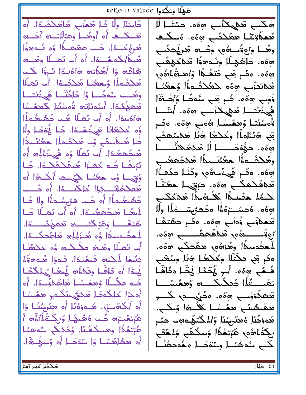Ketlo D Yalude Siri , Naô كَلّْمَتْلَ وَلَا كُلّْ شَهّْبِي هَٰاشْكَشْدًا. أَهْ هُكُب مُحْمِيكُلُب هِهُه. حمَّتْها لَا قسكن أو أوقبا وْهْرْلَاتِيْوْ أَجْنُو قْعَدُّوْنْنَا مْكَلْئُبْ مِهْهُ، ەُسْلُتْ مْرِهُكُمُـهَا. كُـُمَا هَعْتَقَـهُا وُه شُـهِ وَأَ وهُــا وزُوةُـــەُٯ وتــە تْدِهُحِكَـب مُعِيكَمُ/كَمْهُـــةَ لِ أَوْ أَبْ تَمْــلَا وِقْـــة هِهُه. خَانْقَهِــُلَّا وِنُــهِووْا مُحْكَمِعُـبِ هْاهُهِ وَا أَهْكَٰٓتِهِ هُاوَّىغَا تَوْاً كُـْمَ هِهُه. وصِّ ثَبَّ عَتْصُلًا وْاهْدَةُ اهْمِ هَٰٓدُهُماْ وُجِعِيَّا هَٰٓدَيَّدَا. أَبِّ تَعِبَّا هْدْنُحَنِّبِ هِهُمْ خَطَّحْتُمَاْ! وَحْطَبًا. ذُوْبٍ وَهُهِ. كَــْ قِبَ مُنُوطًا وَٱصُــٰٓةَا قْتَتْمِيْكُنَّةَا. أَمْتُوبُالَاهِ ۚ وَّْوَمِيْتُمَا لِكَحْفُسُيَا فَيْ تُنْسَا مْعَيْكُلُوكُ أَسْتَنْبَرِهِ فَيْ الْمَسْتَنْبَرِهِ %)ەُبەمَا. أَو أَب تَعِبلًا هُب جَھُيھُداُ! وْْمِئْشَا وُهِمْنْنَا هُەْب ھەْه. مۇم وُّه حُكْمَالُا شَيخُمُـهَا. كَـا يُّـقَدْا وِلًا بْعِي رَمَّتَنَاهِ أَلْمَ لِكُلْحَمَا رَمُّلًا مِّكْلِمَحْمَّعِ ثَا مُعَذِّمَتِ ۚ وَ مَكْثَمَاْ حَمَّنْتُمَّا هؤه. حجَّة مْــــــــــا لُل مْحكمْحَدْتْــــــــا مُعطَّمَةَا. أَبِ تَعلَّا وُه فَي َءَٰلِمَاهَ أَه وهَكْشُـــه/ا هَعَمْنُـــمِدُا شَكْضَعْمُــــعِ تَبْدُل خُبه كَهِ أُر مُتَفَجَّحَكُمْ. خَبَل اثْكُمْ وَهُوَ مَنْ مَعْ مَنْ الْمَحْمَدِينَ وَكُنُّا حَكَمْ أَلْ وَقِيمًا وَبِ حَقَيْمًا لِحَيْثِ أَحْدُثُوا أَنْ مْدْهَدْهِكْبِ «هُمْ. دَبْقِيْهَا هِمَّسْلَمْ مَحكمُ اللَّهِ إِلَّا حُلِكَتَ وَا. أَو حُـــب لحَدُّمُ حَضَّىلاً كَلَّمُ هُمَّا شَمْكُنْب كَثَّمَعْنُـد}ُا أُه كُـب فهُبِنُـد}ُا وِلًا كُـل الْمِ ٱلْمُصْلَّةِ ٱلْمُحْمَّوِّضِيْنَا وَلَّا وَلَا لَمِعُا هُمَحُمِعَمُــةَا. أَه أَبِ تَعِبَّلَا جَبَا مْعَمْنُو وُمَّى وَهُه. وَكُمْ حَقَّنَهْا *أ*وقُـــــــوهُ و هُكلفَـمصَــــــــ وهَه. أَحدُ عِيدًا وَو مُحزَّلِمُ وَ هَدَاهَ مَدَاجَدَ الْمَد لْمَثْدَمِيكُمْ وِهُزْوَّةٍ مِنْكُلْبٍ وَوَّةٍ. أَب تَعطُّا وهُــة فكُـنْــّة وُه تَـحْهَنُـا ەكْر بْعِ كَتْلَا وِكْكْعُا ھُلَا وِمُعْبِ حِبْهَا لِمَكْتُبُ هُنَّمَنَاً. شُوَرًا هُدُوَةً لْمَثَالُه دْاقْل ودْلالُه لْمِعْلِي لِكْحْل فُعِمًى 50%، أُمِرٍ يُتَحْدَ يُثْمَا هَدَاقْنَا َّدَّءَ مَكْتُلًا وْمَعْتَشَا مُّاهَدْؤُنَّةًا. أَه <u>ئ</u>مَّسْـــتُٰډُّا ڪَھِگُنگْــــ ۞ وَهِمُّنشَــــا أُهدَٰإِ كَلِكُوكَا هُدَيَّ سَكُوبِ هِمَسْاً ئعىمگۈئېب ھۇە. ەك<u>ئى</u>سى گىسر أَه أَكْدَّمَـــَمْ. هُـــدوْهُ الْ أَه هنَّرِمِنْـَا وَا ھقَىقَىبَ ھمَسُل كَلُـ16 وُلَكَـ. ھَ تَمَسْرُه هُــد هُڪُنهُــا وَرِجْــَةُ أَاٰ أَه أَ هُدوْحُلًا هُهلُرْبِيُلًا وُالْمَكْتَهُدْهِبْ حَتَّـمِ هَّتِعْدًا وْهِسْكُفْسًا. وُكْمْكُمْ شُوهْنَا، رِكَةُ اهُمِ هَبَّتَعُدًا وَسَكْفَى وَاحَفَى أَه محكَلِمَسًا وَا سَوَسًا أَه وَسِيَٰــٰتِهَا. لكب منْدهُسُا ومِنْةشَا دهُدَدَهُسُا

مَحْدُمُا حَزَّىر أَاتَّا